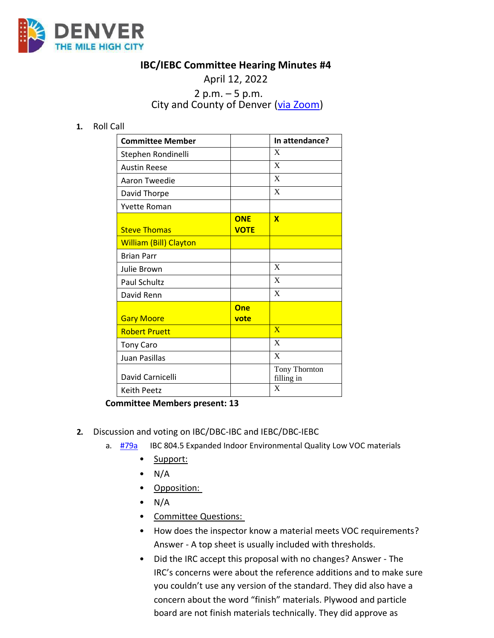

## **IBC/IEBC Committee Hearing Minutes #4**

## April 12, 2022 2 p.m. – 5 p.m. City and County of Denver [\(via Zoom\)](https://carrier.zoom.us/webinar/register/WN_3HPC2YTfRR-Q9dP6ZUBYfg)

**1.** Roll Call

| <b>Committee Member</b>       |                           | In attendance?              |
|-------------------------------|---------------------------|-----------------------------|
| Stephen Rondinelli            |                           | X                           |
| <b>Austin Reese</b>           |                           | X                           |
| Aaron Tweedie                 |                           | X                           |
| David Thorpe                  |                           | X                           |
| <b>Yvette Roman</b>           |                           |                             |
| <b>Steve Thomas</b>           | <b>ONE</b><br><b>VOTE</b> | $\mathbf x$                 |
| <b>William (Bill) Clayton</b> |                           |                             |
| <b>Brian Parr</b>             |                           |                             |
| Julie Brown                   |                           | X                           |
| Paul Schultz                  |                           | X                           |
| David Renn                    |                           | X                           |
| <b>Gary Moore</b>             | <b>One</b><br>vote        |                             |
| <b>Robert Pruett</b>          |                           | $\overline{\mathbf{X}}$     |
| <b>Tony Caro</b>              |                           | X                           |
| Juan Pasillas                 |                           | X                           |
| David Carnicelli              |                           | Tony Thornton<br>filling in |
| <b>Keith Peetz</b>            |                           | X                           |

**Committee Members present: 13**

- **2.** Discussion and voting on IBC/DBC-IBC and IEBC/DBC-IEBC
	- a. [#79a](https://www.denvergov.org/files/assets/public/community-planning-and-development/documents/ds/building-codes/code-adoption/amendment-proposals/ibc/ibc_proposal-79a.pdf) IBC 804.5 Expanded Indoor Environmental Quality Low VOC materials
		- Support:
		- $\bullet$  N/A
		- Opposition:
		- $\bullet$  N/A
		- Committee Questions:
		- How does the inspector know a material meets VOC requirements? Answer - A top sheet is usually included with thresholds.
		- Did the IRC accept this proposal with no changes? Answer The IRC's concerns were about the reference additions and to make sure you couldn't use any version of the standard. They did also have a concern about the word "finish" materials. Plywood and particle board are not finish materials technically. They did approve as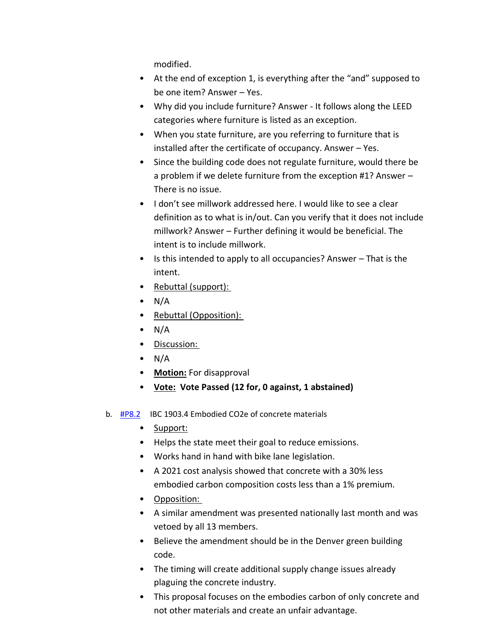modified.

- At the end of exception 1, is everything after the "and" supposed to be one item? Answer – Yes.
- Why did you include furniture? Answer It follows along the LEED categories where furniture is listed as an exception.
- When you state furniture, are you referring to furniture that is installed after the certificate of occupancy. Answer – Yes.
- Since the building code does not regulate furniture, would there be a problem if we delete furniture from the exception #1? Answer – There is no issue.
- I don't see millwork addressed here. I would like to see a clear definition as to what is in/out. Can you verify that it does not include millwork? Answer – Further defining it would be beneficial. The intent is to include millwork.
- Is this intended to apply to all occupancies? Answer That is the intent.
- Rebuttal (support):
- $\bullet$  N/A
- Rebuttal (Opposition):
- $\bullet$  N/A
- Discussion:
- $\bullet$  N/A
- **Motion:** For disapproval
- **Vote: Vote Passed (12 for, 0 against, 1 abstained)**
- b. [#P8.2](https://www.denvergov.org/files/assets/public/community-planning-and-development/documents/ds/building-codes/code-adoption/amendment-proposals/ibc/ibc_1903.4.pdf) IBC 1903.4 Embodied CO2e of concrete materials
	- Support:
	- Helps the state meet their goal to reduce emissions.
	- Works hand in hand with bike lane legislation.
	- A 2021 cost analysis showed that concrete with a 30% less embodied carbon composition costs less than a 1% premium.
	- Opposition:
	- A similar amendment was presented nationally last month and was vetoed by all 13 members.
	- Believe the amendment should be in the Denver green building code.
	- The timing will create additional supply change issues already plaguing the concrete industry.
	- This proposal focuses on the embodies carbon of only concrete and not other materials and create an unfair advantage.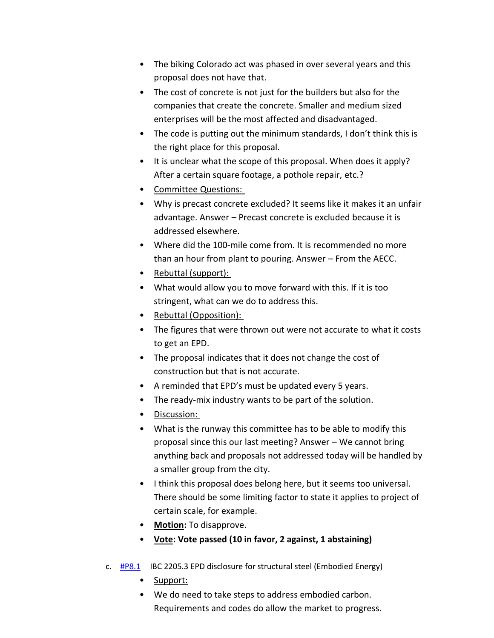- The biking Colorado act was phased in over several years and this proposal does not have that.
- The cost of concrete is not just for the builders but also for the companies that create the concrete. Smaller and medium sized enterprises will be the most affected and disadvantaged.
- The code is putting out the minimum standards, I don't think this is the right place for this proposal.
- It is unclear what the scope of this proposal. When does it apply? After a certain square footage, a pothole repair, etc.?
- Committee Questions:
- Why is precast concrete excluded? It seems like it makes it an unfair advantage. Answer – Precast concrete is excluded because it is addressed elsewhere.
- Where did the 100-mile come from. It is recommended no more than an hour from plant to pouring. Answer – From the AECC.
- Rebuttal (support):
- What would allow you to move forward with this. If it is too stringent, what can we do to address this.
- Rebuttal (Opposition):
- The figures that were thrown out were not accurate to what it costs to get an EPD.
- The proposal indicates that it does not change the cost of construction but that is not accurate.
- A reminded that EPD's must be updated every 5 years.
- The ready-mix industry wants to be part of the solution.
- Discussion:
- What is the runway this committee has to be able to modify this proposal since this our last meeting? Answer – We cannot bring anything back and proposals not addressed today will be handled by a smaller group from the city.
- I think this proposal does belong here, but it seems too universal. There should be some limiting factor to state it applies to project of certain scale, for example.
- **Motion:** To disapprove.
- **Vote: Vote passed (10 in favor, 2 against, 1 abstaining)**
- c. [#P8.1](https://www.denvergov.org/files/assets/public/community-planning-and-development/documents/ds/building-codes/code-adoption/amendment-proposals/ibc/ibc_2205.3.pdf) IBC 2205.3 EPD disclosure for structural steel (Embodied Energy)
	- Support:
	- We do need to take steps to address embodied carbon. Requirements and codes do allow the market to progress.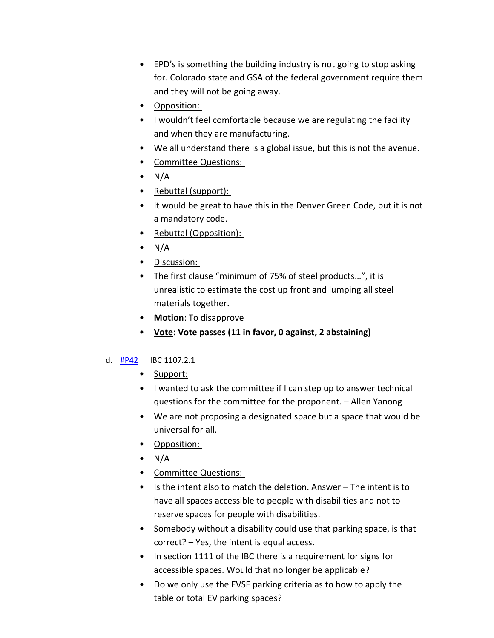- EPD's is something the building industry is not going to stop asking for. Colorado state and GSA of the federal government require them and they will not be going away.
- Opposition:
- I wouldn't feel comfortable because we are regulating the facility and when they are manufacturing.
- We all understand there is a global issue, but this is not the avenue.
- Committee Questions:
- $\bullet$  N/A
- Rebuttal (support):
- It would be great to have this in the Denver Green Code, but it is not a mandatory code.
- Rebuttal (Opposition):
- $\bullet$  N/A
- Discussion:
- The first clause "minimum of 75% of steel products…", it is unrealistic to estimate the cost up front and lumping all steel materials together.
- **Motion**: To disapprove
- **Vote: Vote passes (11 in favor, 0 against, 2 abstaining)**

## d. [#P42](https://www.denvergov.org/files/assets/public/community-planning-and-development/documents/ds/building-codes/code-adoption/amendment-proposals/ibc/ibc_section-1107.2.1.pdf) IBC 1107.2.1

- Support:
- I wanted to ask the committee if I can step up to answer technical questions for the committee for the proponent. – Allen Yanong
- We are not proposing a designated space but a space that would be universal for all.
- Opposition:
- $\bullet$  N/A
- Committee Questions:
- Is the intent also to match the deletion. Answer The intent is to have all spaces accessible to people with disabilities and not to reserve spaces for people with disabilities.
- Somebody without a disability could use that parking space, is that correct? – Yes, the intent is equal access.
- In section 1111 of the IBC there is a requirement for signs for accessible spaces. Would that no longer be applicable?
- Do we only use the EVSE parking criteria as to how to apply the table or total EV parking spaces?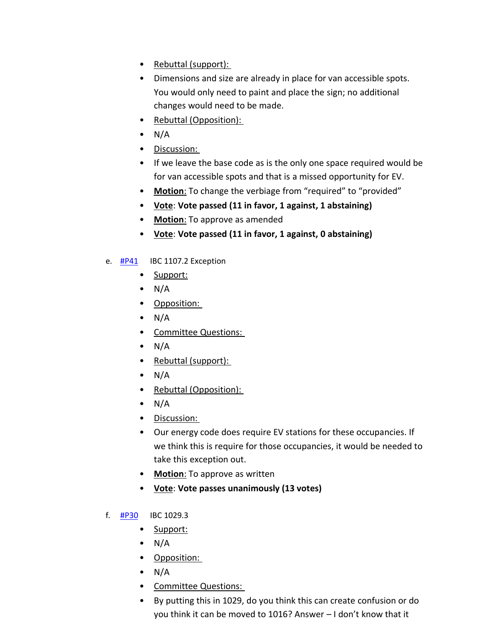- Rebuttal (support):
- Dimensions and size are already in place for van accessible spots. You would only need to paint and place the sign; no additional changes would need to be made.
- Rebuttal (Opposition):
- $\bullet$  N/A
- Discussion:
- If we leave the base code as is the only one space required would be for van accessible spots and that is a missed opportunity for EV.
- **Motion**: To change the verbiage from "required" to "provided"
- **Vote**: **Vote passed (11 in favor, 1 against, 1 abstaining)**
- **Motion**: To approve as amended
- **Vote**: **Vote passed (11 in favor, 1 against, 0 abstaining)**
- e.  $\frac{\text{HP41}}{\text{HP41}}$  IBC 1107.2 Exception
	- Support:
	- $\bullet$  N/A
	- Opposition:
	- $\bullet$  N/A
	- Committee Questions:
	- $\bullet$  N/A
	- Rebuttal (support):
	- $\bullet$  N/A
	- Rebuttal (Opposition):
	- $\bullet$  N/A
	- Discussion:
	- Our energy code does require EV stations for these occupancies. If we think this is require for those occupancies, it would be needed to take this exception out.
	- **Motion**: To approve as written
	- **Vote**: **Vote passes unanimously (13 votes)**
- f. [#P30](https://www.denvergov.org/files/assets/public/community-planning-and-development/documents/ds/building-codes/code-adoption/amendment-proposals/ibc/ibc-1029.3.pdf) IBC 1029.3
	- Support:
	- $\bullet$  N/A
	- Opposition:
	- $\bullet$  N/A
	- Committee Questions:
	- By putting this in 1029, do you think this can create confusion or do you think it can be moved to 1016? Answer – I don't know that it